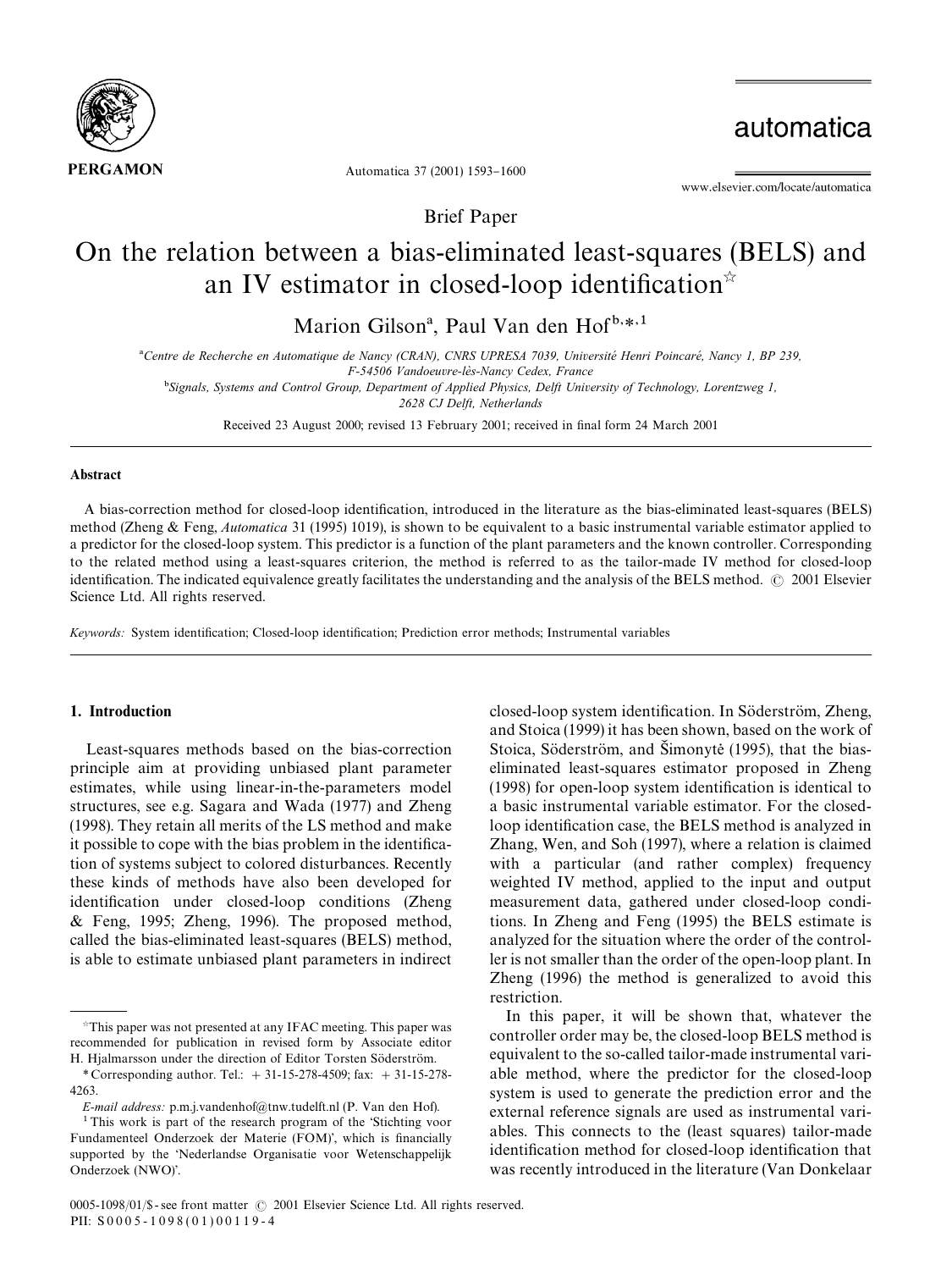

automatica

Automatica 37 (2001) 1593-1600

www.elsevier.com/locate/automatica

Brief Paper

# On the relation between a bias-eliminated least-squares (BELS) and an IV estimator in closed-loop identification\*

Marion Gilson<sup>a</sup>, Paul Van den Hof<sup>b,\*,1</sup>

<sup>a</sup>Centre de Recherche en Automatique de Nancy (CRAN), CNRS UPRESA 7039, Université Henri Poincaré, Nancy 1, BP 239,

*F-54506 Vandoeuvre-le*%*s-Nancy Cedex, France*

-*Signals, Systems and Control Group, Department of Applied Physics, Delft University of Technology, Lorentzweg 1,*

*2628 CJ Delft, Netherlands*

Received 23 August 2000; revised 13 February 2001; received in final form 24 March 2001

#### Abstract

A bias-correction method for closed-loop identification, introduced in the literature as the bias-eliminated least-squares (BELS) method (Zheng & Feng, *Automatica* 31 (1995) 1019), is shown to be equivalent to a basic instrumental variable estimator applied to a predictor for the closed-loop system. This predictor is a function of the plant parameters and the known controller. Corresponding to the related method using a least-squares criterion, the method is referred to as the tailor-made IV method for closed-loop identification. The indicated equivalence greatly facilitates the understanding and the analysis of the BELS method.  $\oslash$  2001 Elsevier Science Ltd. All rights reserved.

Keywords: System identification; Closed-loop identification; Prediction error methods; Instrumental variables

## 1. Introduction

Least-squares methods based on the bias-correction principle aim at providing unbiased plant parameter estimates, while using linear-in-the-parameters model structures, see e.g. Sagara and Wada (1977) and Zheng (1998). They retain all merits of the LS method and make it possible to cope with the bias problem in the identification of systems subject to colored disturbances. Recently these kinds of methods have also been developed for identification under closed-loop conditions (Zheng & Feng, 1995; Zheng, 1996). The proposed method, called the bias-eliminated least-squares (BELS) method, is able to estimate unbiased plant parameters in indirect

*E-mail address:* p.m.j.vandenhof@tnw.tudelft.nl (P. Van den Hof).

closed-loop system identification. In Söderström, Zheng, and Stoica (1999) it has been shown, based on the work of Stoica, Söderström, and Simonyte (1995), that the biaseliminated least-squares estimator proposed in Zheng  $(1998)$  for open-loop system identification is identical to a basic instrumental variable estimator. For the closedloop identification case, the BELS method is analyzed in Zhang, Wen, and Soh (1997), where a relation is claimed with a particular (and rather complex) frequency weighted IV method, applied to the input and output measurement data, gathered under closed-loop conditions. In Zheng and Feng (1995) the BELS estimate is analyzed for the situation where the order of the controller is not smaller than the order of the open-loop plant. In Zheng (1996) the method is generalized to avoid this restriction.

In this paper, it will be shown that, whatever the controller order may be, the closed-loop BELS method is equivalent to the so-called tailor-made instrumental variable method, where the predictor for the closed-loop system is used to generate the prediction error and the external reference signals are used as instrumental variables. This connects to the (least squares) tailor-made identification method for closed-loop identification that was recently introduced in the literature (Van Donkelaar

This paper was not presented at any IFAC meeting. This paper was recommended for publication in revised form by Associate editor H. Hjalmarsson under the direction of Editor Torsten Söderström.

*<sup>\*</sup>* Corresponding author. Tel.: #31-15-278-4509; fax: #31-15-278- 4263.

 $1$ This work is part of the research program of the Stichting voor Fundamenteel Onderzoek der Materie (FOM)', which is financially supported by the 'Nederlandse Organisatie voor Wetenschappelijk Onderzoek (NWO)'.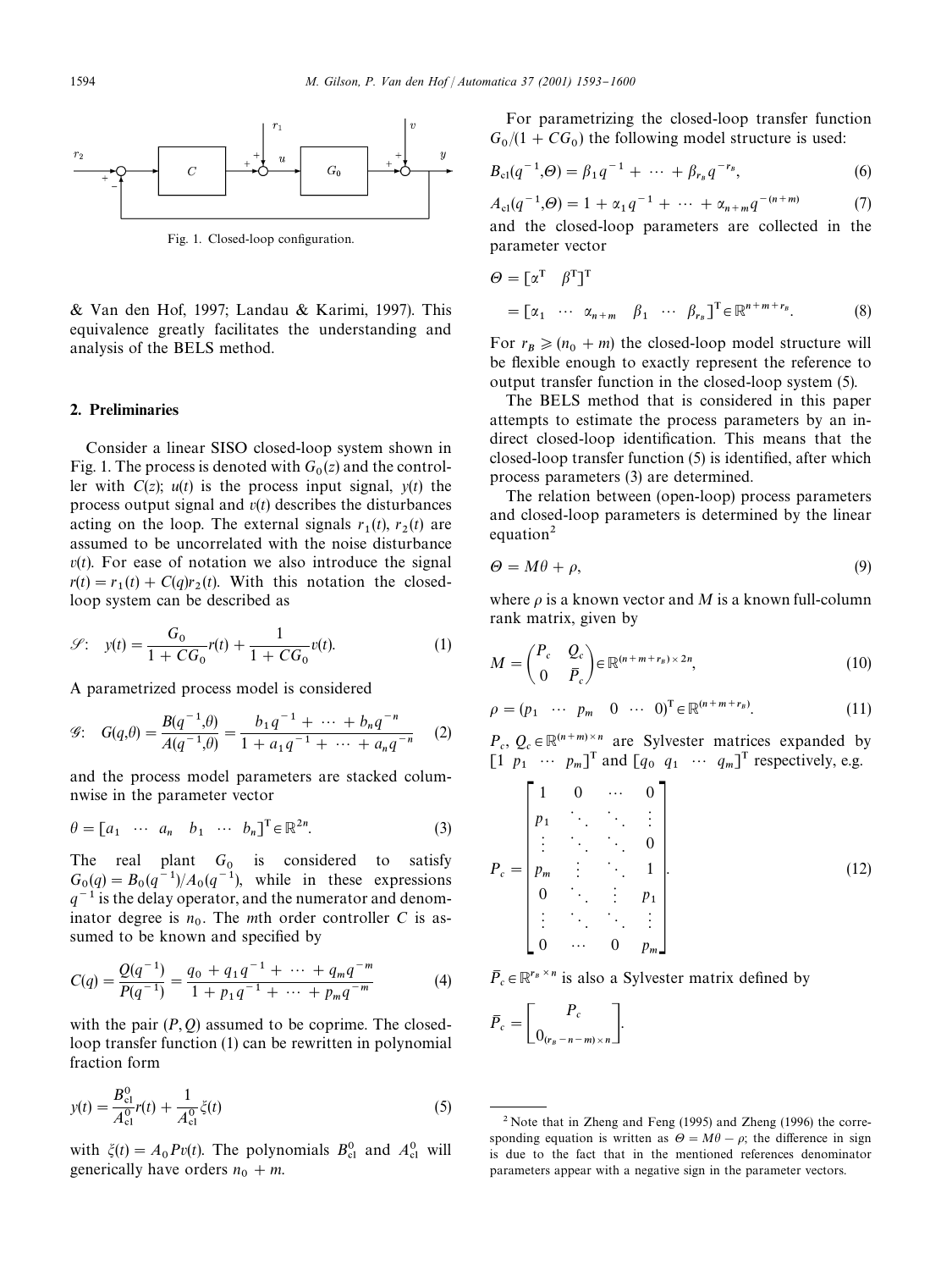

Fig. 1. Closed-loop configuration.

& Van den Hof, 1997; Landau & Karimi, 1997). This equivalence greatly facilitates the understanding and analysis of the BELS method.

#### 2. Preliminaries

Consider a linear SISO closed-loop system shown in Fig. 1. The process is denoted with  $G_0(z)$  and the controller with  $C(z)$ ;  $u(t)$  is the process input signal,  $v(t)$  the process output signal and *v*(*t*) describes the disturbances acting on the loop. The external signals  $r_1(t)$ ,  $r_2(t)$  are acting on the loop. The external signals  $r_1(t)$ ,  $r_2(t)$  are assumed to be uncorrelated with the noise disturbance  $v(t)$ . For ease of notation we also introduce the signal  $r(t) = r_1(t) + C(q)r_2(t)$ . With this notation the closedloop system can be described as

$$
\mathcal{S}: \quad y(t) = \frac{G_0}{1 + CG_0} r(t) + \frac{1}{1 + CG_0} v(t). \tag{1}
$$

A parametrized process model is considered

$$
\mathcal{G}: \quad G(q,\theta) = \frac{B(q^{-1},\theta)}{A(q^{-1},\theta)} = \frac{b_1 q^{-1} + \dots + b_n q^{-n}}{1 + a_1 q^{-1} + \dots + a_n q^{-n}} \quad (2)
$$

and the process model parameters are stacked columnwise in the parameter vector

$$
\theta = [a_1 \cdots a_n \quad b_1 \cdots b_n]^{\mathrm{T}} \in \mathbb{R}^{2n}.
$$
 (3)

The real plant  $G_0$  is considered to satisfy  $G_0(q) = B_0(q^{-1})/A_0(q^{-1})$ , while in these expressions  $q^{-1}$  is the delay operator, and the numerator and denominator degree is  $n_0$ . The *m*th order controller *C* is assumed to be known and specified by

$$
C(q) = \frac{Q(q^{-1})}{P(q^{-1})} = \frac{q_0 + q_1 q^{-1} + \dots + q_m q^{-m}}{1 + p_1 q^{-1} + \dots + p_m q^{-m}}
$$
(4)

with the pair  $(P, Q)$  assumed to be coprime. The closedloop transfer function (1) can be rewritten in polynomial fraction form

$$
y(t) = \frac{B_{\text{cl}}^0}{A_{\text{cl}}^0} r(t) + \frac{1}{A_{\text{cl}}^0} \zeta(t)
$$
\n(5)

with  $\xi(t) = A_0 P v(t)$ . The polynomials  $B_{c1}^0$  and  $A_{c1}^0$  will generically have orders  $n_0 + m$ .

For parametrizing the closed-loop transfer function  $G_0/(1 + CG_0)$  the following model structure is used:

$$
B_{\rm cl}(q^{-1},\Theta) = \beta_1 q^{-1} + \cdots + \beta_{r_B} q^{-r_B}, \qquad (6)
$$

$$
A_{\rm cl}(q^{-1},\Theta) = 1 + \alpha_1 q^{-1} + \cdots + \alpha_{n+m} q^{-(n+m)} \tag{7}
$$

and the closed-loop parameters are collected in the parameter vector

$$
\Theta = [\alpha^{\mathrm{T}} \ \beta^{\mathrm{T}}]^{\mathrm{T}}
$$
  
=  $[\alpha_1 \ \cdots \ \alpha_{n+m} \ \beta_1 \ \cdots \ \beta_{r_B}]^{\mathrm{T}} \in \mathbb{R}^{n+m+r_B}.$  (8)

For  $r_B \ge (n_0 + m)$  the closed-loop model structure will be flexible enough to exactly represent the reference to output transfer function in the closed-loop system (5).

The BELS method that is considered in this paper attempts to estimate the process parameters by an indirect closed-loop identification. This means that the closed-loop transfer function  $(5)$  is identified, after which process parameters (3) are determined.

The relation between (open-loop) process parameters and closed-loop parameters is determined by the linear equation<sup>2</sup>

$$
\Theta = M\theta + \rho,\tag{9}
$$

where  $\rho$  is a known vector and *M* is a known full-column rank matrix, given by

$$
M = \begin{pmatrix} P_c & Q_c \\ 0 & \overline{P}_c \end{pmatrix} \in \mathbb{R}^{(n+m+r_B) \times 2n},
$$
\n(10)

$$
\rho = (p_1 \cdots p_m \quad 0 \cdots 0)^{\mathrm{T}} \in \mathbb{R}^{(n+m+r_B)}.
$$
 (11)

 $P_c$ ,  $Q_c \in \mathbb{R}^{(n+m)\times n}$  are Sylvester matrices expanded by  $\begin{bmatrix} 1 & p_1 & \cdots & p_m \end{bmatrix}^T$  and  $\begin{bmatrix} q_0 & q_1 & \cdots & q_m \end{bmatrix}^T$  respectively, e.g.

$$
P_c = \begin{bmatrix} 1 & 0 & \cdots & 0 \\ p_1 & \ddots & \ddots & \vdots \\ \vdots & \ddots & \ddots & 0 \\ p_m & \vdots & \ddots & 1 \\ 0 & \ddots & \vdots & p_1 \\ \vdots & \ddots & \ddots & \vdots \\ 0 & \cdots & 0 & p_m \end{bmatrix} .
$$
 (12)

 $\overline{P}_c \in \mathbb{R}^{r_B \times n}$  is also a Sylvester matrix defined by

$$
\bar{P}_c = \begin{bmatrix} P_c \\ 0_{(r_B - n - m) \times n} \end{bmatrix}.
$$

 $2$  Note that in Zheng and Feng (1995) and Zheng (1996) the corresponding equation is written as  $\Theta = M\theta - \rho$ ; the difference in sign is due to the fact that in the mentioned references denominator parameters appear with a negative sign in the parameter vectors.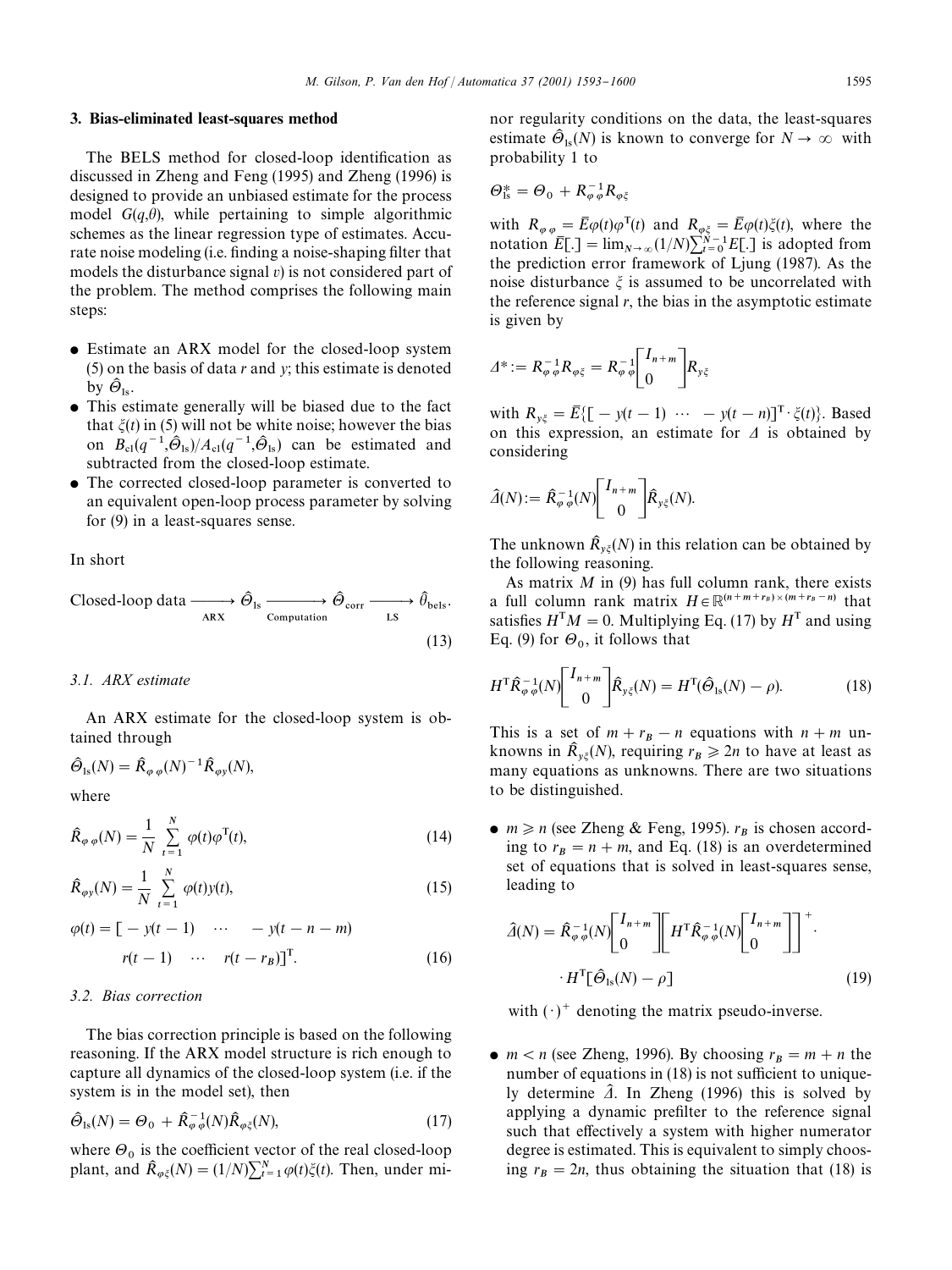#### 3. Bias-eliminated least-squares method

The BELS method for closed-loop identification as discussed in Zheng and Feng (1995) and Zheng (1996) is designed to provide an unbiased estimate for the process model  $G(q, \theta)$ , while pertaining to simple algorithmic schemes as the linear regression type of estimates. Accurate noise modeling (i.e. finding a noise-shaping filter that models the disturbance signal *v*) is not considered part of the problem. The method comprises the following main steps:

- Estimate an ARX model for the closed-loop system (5) on the basis of data *r* and *y*; this estimate is denoted by  $\widehat{\Theta}_{\text{ls}}$ .
- This estimate generally will be biased due to the fact that  $\xi(t)$  in (5) will not be white noise; however the bias on  $B_{\text{cl}}(q^{-1}, \hat{\Theta}_{\text{ls}})/A_{\text{cl}}(q^{-1}, \hat{\Theta}_{\text{ls}})$  can be estimated and subtracted from the closed-loop estimate.
- The corrected closed-loop parameter is converted to an equivalent open-loop process parameter by solving for (9) in a least-squares sense.

In short

$$
\text{Closed-loop data} \xrightarrow{\qquad \qquad \widehat{\Theta}_{\text{ls}}} \xrightarrow{\qquad \qquad \widehat{\Theta}_{\text{corr}}} \xrightarrow{\qquad \qquad \widehat{\theta}_{\text{bels}}} \widehat{\theta}_{\text{bels}}.\tag{13}
$$

#### *3.1. ARX estimate*

An ARX estimate for the closed-loop system is obtained through

$$
\widehat{\Theta}_{1s}(N) = \widehat{R}_{\varphi \varphi}(N)^{-1} \widehat{R}_{\varphi y}(N),
$$

where

$$
\hat{R}_{\varphi\,\varphi}(N) = \frac{1}{N} \sum_{t=1}^{N} \varphi(t)\varphi^{T}(t),\tag{14}
$$

$$
\hat{R}_{\varphi y}(N) = \frac{1}{N} \sum_{t=1}^{N} \varphi(t) y(t),
$$
\n(15)

$$
\varphi(t) = \begin{bmatrix} -y(t-1) & \cdots & -y(t-n-m) \end{bmatrix}
$$

$$
r(t-1) \quad \cdots \quad r(t-r_B) \end{bmatrix}^T.
$$
 (16)

#### *3.2. Bias correction*

The bias correction principle is based on the following reasoning. If the ARX model structure is rich enough to capture all dynamics of the closed-loop system (i.e. if the system is in the model set), then

$$
\hat{\Theta}_{\text{ls}}(N) = \Theta_0 + \hat{R}_{\varphi\,\varphi}^{-1}(N)\hat{R}_{\varphi\xi}(N),\tag{17}
$$

where  $\Theta_0$  is the coefficient vector of the real closed-loop plant, and  $\hat{R}_{\varphi\xi}(N) = (1/N)\sum_{t=1}^{N} \varphi(t)\xi(t)$ . Then, under minor regularity conditions on the data, the least-squares estimate  $\hat{\Theta}_{ls}(N)$  is known to converge for  $N \to \infty$  with probability 1 to

$$
\Theta_{\rm ls}^* = \Theta_0 + R_{\varphi \varphi}^{-1} R_{\varphi \xi}
$$

with  $R_{\varphi \varphi} = \bar{E}\varphi(t)\varphi^{T}(t)$  and  $R_{\varphi \xi} = \bar{E}\varphi(t)\xi(t)$ , where the notation  $\overline{E}$ [.] =  $\lim_{N \to \infty} (1/N) \sum_{i=0}^{N-1} E$ [.] is adopted from the prediction error framework of Ljung (1987). As the noise disturbance  $\xi$  is assumed to be uncorrelated with the reference signal  $r$ , the bias in the asymptotic estimate is given by

$$
\varDelta^* := R_{\varphi\,\varphi}^{-1}R_{\varphi\xi} = R_{\varphi\,\varphi}^{-1} \begin{bmatrix} I_{n+m} \\ 0 \end{bmatrix} R_{y\xi}
$$

with  $R_{y\xi} = \overline{E}\{[-y(t-1) \cdots -y(t-n)]^T \cdot \xi(t)\}$ . Based on this expression, an estimate for  $\Delta$  is obtained by considering

$$
\widehat{\mathcal{A}}(N) := \widehat{R}_{\varphi,\varphi}^{-1}(N) \begin{bmatrix} I_{n+m} \\ 0 \end{bmatrix} \widehat{R}_{y\xi}(N).
$$

The unknown  $\hat{R}_{y\xi}(N)$  in this relation can be obtained by<br>the following researing the following reasoning.

As matrix *M* in (9) has full column rank, there exists a full column rank matrix  $H \in \mathbb{R}^{(n+m+r_B)\times(m+r_B-n)}$  that satisfies  $H<sup>T</sup>M = 0$ . Multiplying Eq. (17) by  $H<sup>T</sup>$  and using Eq. (9) for  $\Theta_0$ , it follows that

$$
H^{\mathrm{T}}\hat{\mathcal{R}}_{\varphi\,\varphi}^{-1}(N)\begin{bmatrix}I_{n+m}\\0\end{bmatrix}\hat{\mathcal{R}}_{y\xi}(N) = H^{\mathrm{T}}(\hat{\Theta}_{1s}(N) - \rho).
$$
 (18)

This is a set of  $m + r_B - n$  equations with  $n + m$  unknowns in  $\hat{R}_{y\xi}(N)$ , requiring  $r_B \ge 2n$  to have at least as many equations as unknowns. There are two situations to be distinguished.

•  $m \ge n$  (see Zheng & Feng, 1995).  $r_B$  is chosen according to  $r_B = n + m$ , and Eq. (18) is an overdetermined set of equations that is solved in least-squares sense, leading to

$$
\hat{\mathcal{A}}(N) = \hat{R}_{\varphi \varphi}^{-1}(N) \begin{bmatrix} I_{n+m} \\ 0 \end{bmatrix} \begin{bmatrix} H^{\mathrm{T}} \hat{R}_{\varphi \varphi}^{-1}(N) \begin{bmatrix} I_{n+m} \\ 0 \end{bmatrix} \end{bmatrix}^+.
$$

$$
\cdot H^{\mathrm{T}} \begin{bmatrix} \hat{\Theta}_{\mathrm{ls}}(N) - \rho \end{bmatrix}
$$
(19)

with  $(\cdot)^+$  denoting the matrix pseudo-inverse.

• *m* < *n* (see Zheng, 1996). By choosing  $r_B = m + n$  the number of equations in  $(18)$  is not sufficient to uniquely determine  $\hat{\mathbf{\Lambda}}$ . In Zheng (1996) this is solved by applying a dynamic prefilter to the reference signal such that effectively a system with higher numerator degree is estimated. This is equivalent to simply choosing  $r_B = 2n$ , thus obtaining the situation that (18) is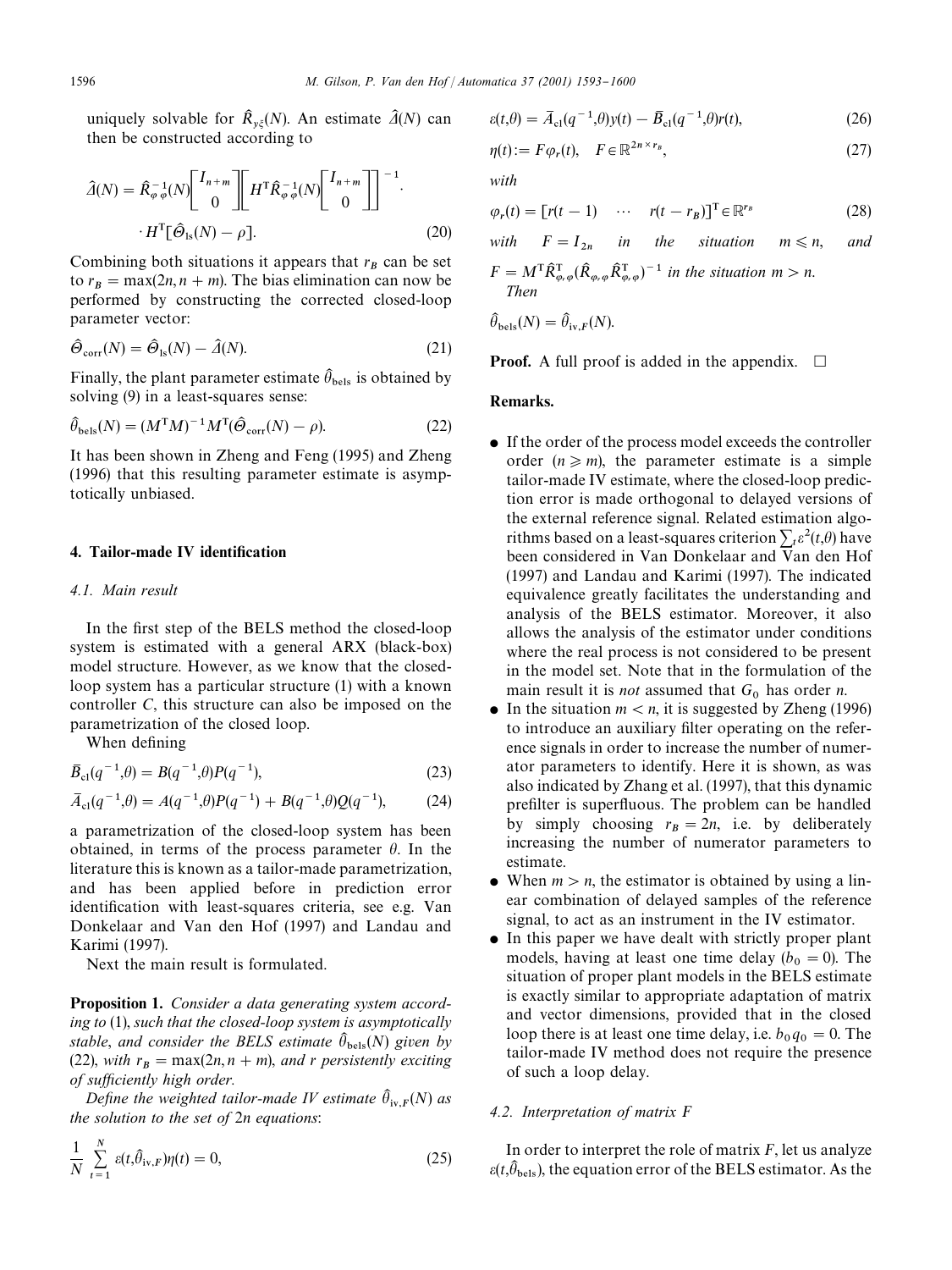uniquely solvable for  $\hat{R}_{y\xi}(N)$ . An estimate  $\hat{A}(N)$  can<br>then be constructed association to then be constructed according to

$$
\hat{\mathcal{A}}(N) = \hat{R}_{\varphi \varphi}^{-1}(N) \begin{bmatrix} I_{n+m} \\ 0 \end{bmatrix} \begin{bmatrix} H^{\mathrm{T}} \hat{R}_{\varphi \varphi}^{-1}(N) \begin{bmatrix} I_{n+m} \\ 0 \end{bmatrix} \end{bmatrix}^{-1} \cdot H^{\mathrm{T}} \tilde{\mathcal{C}}_{\mathrm{ls}}(N) - \rho \,].
$$
\n(20)

Combining both situations it appears that  $r_B$  can be set to  $r_B = \max(2n, n + m)$ . The bias elimination can now be performed by constructing the corrected closed-loop parameter vector:

$$
\hat{\Theta}_{\text{corr}}(N) = \hat{\Theta}_{\text{ls}}(N) - \hat{\Delta}(N). \tag{21}
$$

Finally, the plant parameter estimate  $\hat{\theta}_{\text{bels}}$  is obtained by .<br>I solving (9) in a least-squares sense:

$$
\hat{\theta}_{\text{bels}}(N) = (M^{\text{T}}M)^{-1}M^{\text{T}}(\hat{\Theta}_{\text{corr}}(N) - \rho).
$$
 (22)

It has been shown in Zheng and Feng (1995) and Zheng (1996) that this resulting parameter estimate is asymptotically unbiased.

# 4. Tailor-made IV identification

## *4.1. Main result*

In the first step of the BELS method the closed-loop system is estimated with a general ARX (black-box) model structure. However, as we know that the closedloop system has a particular structure (1) with a known controller *C*, this structure can also be imposed on the parametrization of the closed loop.

When defining

$$
\bar{B}_{\rm cl}(q^{-1},\theta) = B(q^{-1},\theta)P(q^{-1}),\tag{23}
$$

$$
\bar{A}_{\rm cl}(q^{-1},\theta) = A(q^{-1},\theta)P(q^{-1}) + B(q^{-1},\theta)Q(q^{-1}), \qquad (24)
$$

a parametrization of the closed-loop system has been obtained, in terms of the process parameter  $\theta$ . In the literature this is known as a tailor-made parametrization, and has been applied before in prediction error identification with least-squares criteria, see e.g. Van Donkelaar and Van den Hof (1997) and Landau and Karimi (1997).

Next the main result is formulated.

Proposition 1. *Consider a data generating system according to* (1), *such that the closed-loop system is asymptotically* stable, and consider the BELS estimate  $\hat{\theta}_{\text{bels}}(N)$  given by .<br>I (22), *with*  $r_B = \max(2n, n + m)$ , *and r persistently exciting of su*z*ciently high order.*

*Define the weighted tailor-made IV estimate*  $\hat{\theta}_{iv,F}(N)$  *as* .<br>. *the solution to the set of* 2*n equations*:

$$
\frac{1}{N} \sum_{t=1}^{N} \varepsilon(t, \hat{\theta}_{iv,F}) \eta(t) = 0,
$$
\n(25)

$$
\varepsilon(t,\theta) = \overline{A}_{\text{cl}}(q^{-1},\theta)y(t) - \overline{B}_{\text{cl}}(q^{-1},\theta)r(t),\tag{26}
$$

$$
\eta(t) := F \varphi_r(t), \quad F \in \mathbb{R}^{2n \times r_B},\tag{27}
$$

*with*

$$
\varphi_r(t) = [r(t-1) \quad \cdots \quad r(t-r_B)]^T \in \mathbb{R}^{r_B}
$$
 (28)

with 
$$
F = I_{2n}
$$
 in the situation  $m \le n$ , and  
\n $F = M^T \hat{R}_{\varphi,\varphi}^T (\hat{R}_{\varphi,\varphi} \hat{R}_{\varphi,\varphi}^T)^{-1}$  in the situation  $m > n$ .  
\nThen  
\n $\hat{\theta}_{\text{bels}}(N) = \hat{\theta}_{\text{iv},F}(N)$ .

**Proof.** A full proof is added in the appendix.  $\Box$ 

# Remarks.

.<br>.

.<br>.

- If the order of the process model exceeds the controller order  $(n \ge m)$ , the parameter estimate is a simple tailor-made IV estimate, where the closed-loop prediction error is made orthogonal to delayed versions of the external reference signal. Related estimation algorithms based on a least-squares criterion  $\sum_{t} \varepsilon^{2}(t,\theta)$  have been considered in Van Donkelaar and Van den Hof (1997) and Landau and Karimi (1997). The indicated equivalence greatly facilitates the understanding and analysis of the BELS estimator. Moreover, it also allows the analysis of the estimator under conditions where the real process is not considered to be present in the model set. Note that in the formulation of the main result it is *not* assumed that  $G_0$  has order *n*.
- $\bullet$  In the situation  $m < n$ , it is suggested by Zheng (1996) to introduce an auxiliary filter operating on the reference signals in order to increase the number of numerator parameters to identify. Here it is shown, as was also indicated by Zhang et al. (1997), that this dynamic prefilter is superfluous. The problem can be handled by simply choosing  $r_B = 2n$ , i.e. by deliberately increasing the number of numerator parameters to estimate.
- When  $m > n$ , the estimator is obtained by using a linear combination of delayed samples of the reference signal, to act as an instrument in the IV estimator.
- In this paper we have dealt with strictly proper plant models, having at least one time delay  $(b_0 = 0)$ . The situation of proper plant models in the BELS estimate is exactly similar to appropriate adaptation of matrix and vector dimensions, provided that in the closed loop there is at least one time delay, i.e.  $b_0 q_0 = 0$ . The tailor-made IV method does not require the presence of such a loop delay.

#### *4.2. Interpretation of matrix F*

In order to interpret the role of matrix *F*, let us analyze  $\varepsilon(t,\widehat{\theta}_{\text{bels}})$ , the equation error of the BELS estimator. As the .<br>.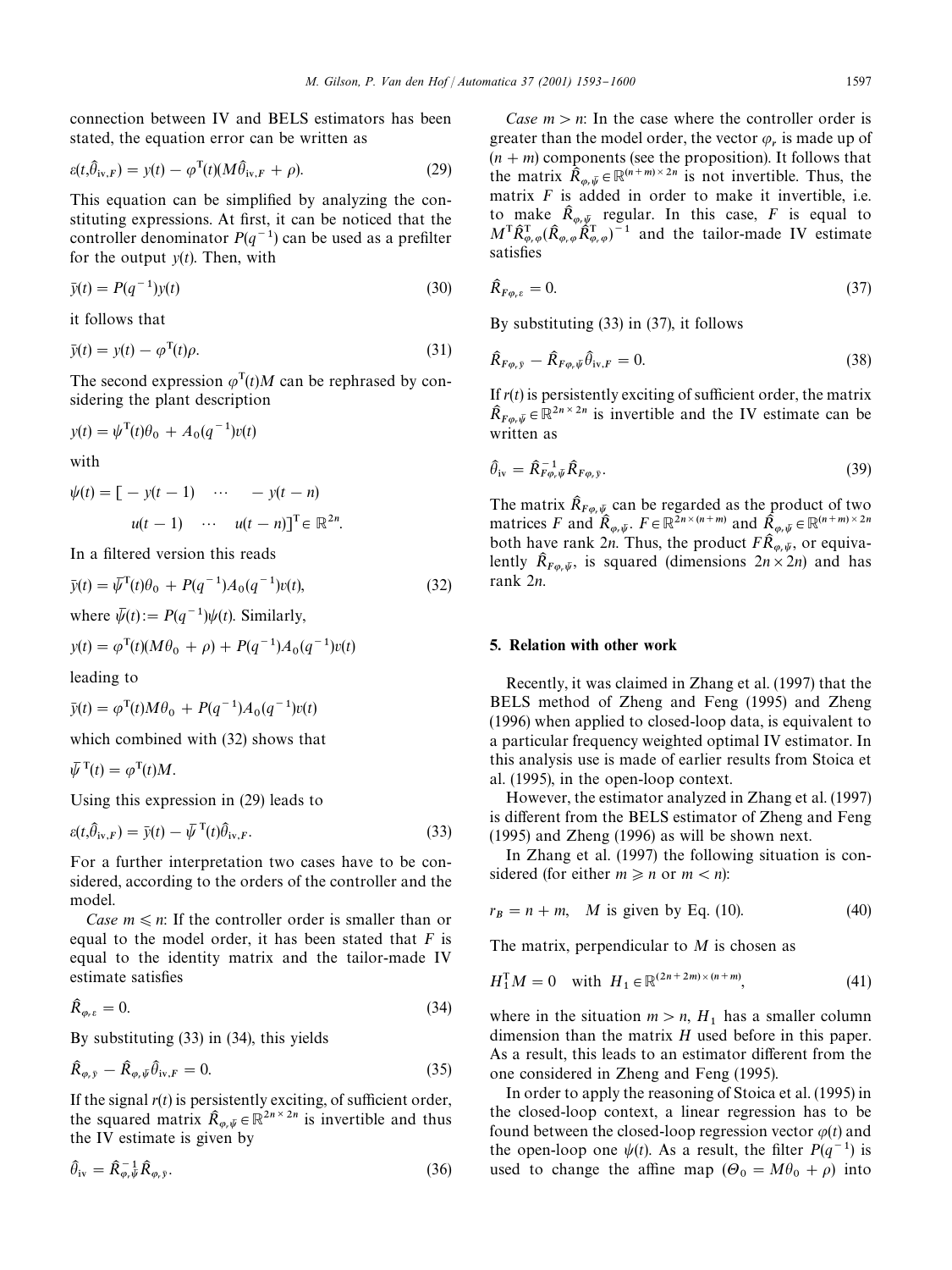connection between IV and BELS estimators has been stated, the equation error can be written as

$$
\varepsilon(t,\hat{\theta}_{iv,F}) = y(t) - \varphi^{T}(t)(M\hat{\theta}_{iv,F} + \rho).
$$
 (29)

This equation can be simplified by analyzing the constituting expressions. At first, it can be noticed that the controller denominator  $P(q^{-1})$  can be used as a prefilter for the output *y*(*t*). Then, with

$$
\bar{y}(t) = P(q^{-1})y(t)
$$
\n(30)

it follows that

$$
\bar{y}(t) = y(t) - \varphi^{T}(t)\rho.
$$
\n(31)

The second expression  $\varphi^{T}(t)M$  can be rephrased by considering the plant description

$$
y(t) = \psi^{T}(t)\theta_{0} + A_{0}(q^{-1})v(t)
$$

with

$$
\psi(t) = \begin{bmatrix} -y(t-1) & \cdots & -y(t-n) \end{bmatrix}
$$

$$
u(t-1) \quad \cdots \quad u(t-n) \end{bmatrix}^T \in \mathbb{R}^{2n}.
$$

In a filtered version this reads

$$
\bar{y}(t) = \bar{\psi}^{\mathrm{T}}(t)\theta_0 + P(q^{-1})A_0(q^{-1})v(t),\tag{32}
$$

where 
$$
\psi(t) := P(q^{-1})\psi(t)
$$
. Similarly,

$$
y(t) = \varphi^{T}(t)(M\theta_{0} + \rho) + P(q^{-1})A_{0}(q^{-1})v(t)
$$

leading to

$$
\bar{y}(t) = \varphi^{T}(t)M\theta_{0} + P(q^{-1})A_{0}(q^{-1})v(t)
$$

which combined with (32) shows that

 $\overline{\psi}^{\mathrm{T}}(t) = \varphi^{\mathrm{T}}(t)M.$ 

Using this expression in (29) leads to

$$
\varepsilon(t,\hat{\theta}_{iv,F}) = \bar{y}(t) - \bar{\psi}^{\mathrm{T}}(t)\hat{\theta}_{iv,F}.
$$
\n(33)

For a further interpretation two cases have to be considered, according to the orders of the controller and the model.

*Case*  $m \le n$ : If the controller order is smaller than or equal to the model order, it has been stated that *F* is equal to the identity matrix and the tailor-made IV estimate satisfies

$$
\hat{R}_{\varphi,\varepsilon} = 0. \tag{34}
$$

By substituting (33) in (34), this yields

$$
\hat{R}_{\varphi,\bar{y}} - \hat{R}_{\varphi,\bar{\psi}} \hat{\theta}_{iv,F} = 0.
$$
\n(35)

If the signal  $r(t)$  is persistently exciting, of sufficient order, the squared matrix  $\hat{R}_{\varphi,\psi} \in \mathbb{R}^{2n \times 2n}$  is invertible and thus the IV estimate is given by

$$
\hat{\theta}_{iv} = \hat{R}_{\varphi, \bar{\psi}}^{-1} \hat{R}_{\varphi, \bar{y}}.
$$
\n(36)

*Case*  $m > n$ : In the case where the controller order is greater than the model order, the vector  $\varphi_r$  is made up of  $(n + m)$  components (see the proposition). It follows that the matrix  $\hat{R}_{\varphi,\bar{\psi}} \in \mathbb{R}^{(n+m)\times 2n}$  is not invertible. Thus, the matrix *F* is added in order to make it invertible, i.e. to make  $\hat{R}_{\varphi,\bar{\psi}}$  regular. In this case, *F* is equal to  $M\hat{P}^T$  ( $\hat{P}^T$ )  $\hat{P}^T$  and the tailor mode W estimate  $M^{\mathsf{T}} \hat{\mathsf{R}}_{\varphi,\varphi}^{\mathsf{T}} (\hat{\mathsf{R}}_{\varphi,\varphi} \hat{\mathsf{R}}_{\varphi,\varphi}^{\mathsf{T}})^{-1}$  and the tailor-made IV estimate satisfies

$$
\hat{R}_{F\varphi,\varepsilon} = 0. \tag{37}
$$

By substituting (33) in (37), it follows

$$
\hat{R}_{F\varphi,\bar{y}} - \hat{R}_{F\varphi,\bar{\psi}}\hat{\theta}_{iv,F} = 0.
$$
\n(38)

If  $r(t)$  is persistently exciting of sufficient order, the matrix  $\hat{R}_{F\varphi,\bar{\psi}} \in \mathbb{R}^{2n \times 2n}$  is invertible and the IV estimate can be  $w_{F\varphi_r}\psi \in W$ 

$$
\widehat{\theta}_{iv} = \widehat{R}_{F\varphi,\bar{\psi}}^{-1} \widehat{R}_{F\varphi,\bar{\mathbf{y}}}.\tag{39}
$$

The matrix  $\hat{R}_{F\varphi,\bar{\psi}}$  can be regarded as the product of two<br>matrices  $F_{\alpha}$  or  $\hat{R}_{F} \in \mathbb{R}^{2n \times (n+m)}$  and  $\hat{R}_{F} \in \mathbb{R}^{(n+m) \times 2n}$ matrices *F* and  $\hat{R}_{\varphi,\bar{\psi}}$ ,  $F \in \mathbb{R}^{\bar{Z}n \times (n+m)}$  and  $\hat{R}_{\varphi,\bar{\psi}} \in \mathbb{R}^{(n+m)\times 2n}$ both have rank 2*n*. Thus, the product  $F\hat{R}_{\varphi,\bar{\psi}}$ , or equivaboth have rank  $2n$ . Thus, the product  $T_{\mathcal{N}_{\varphi,\psi}}$ , or equiva-<br>lently  $\hat{R}_{F_{\varphi,\psi}}$ , is squared (dimensions  $2n \times 2n$ ) and has rank 2*n*.

# 5. Relation with other work

Recently, it was claimed in Zhang et al. (1997) that the BELS method of Zheng and Feng (1995) and Zheng (1996) when applied to closed-loop data, is equivalent to a particular frequency weighted optimal IV estimator. In this analysis use is made of earlier results from Stoica et al. (1995), in the open-loop context.

However, the estimator analyzed in Zhang et al. (1997) is different from the BELS estimator of Zheng and Feng (1995) and Zheng (1996) as will be shown next.

In Zhang et al. (1997) the following situation is considered (for either  $m \ge n$  or  $m < n$ ):

$$
r_B = n + m, \quad M \text{ is given by Eq. (10).} \tag{40}
$$

The matrix, perpendicular to *M* is chosen as

$$
H_1^{\rm T} M = 0 \quad \text{with} \ \ H_1 \in \mathbb{R}^{(2n+2m)\times(n+m)}, \tag{41}
$$

where in the situation  $m > n$ ,  $H_1$  has a smaller column dimension than the matrix *H* used before in this paper. As a result, this leads to an estimator different from the one considered in Zheng and Feng (1995).

In order to apply the reasoning of Stoica et al. (1995) in the closed-loop context, a linear regression has to be found between the closed-loop regression vector  $\varphi(t)$  and the open-loop one  $\psi(t)$ . As a result, the filter  $P(q^{-1})$  is used to change the affine map  $(\Theta_0 = M\theta_0 + \rho)$  into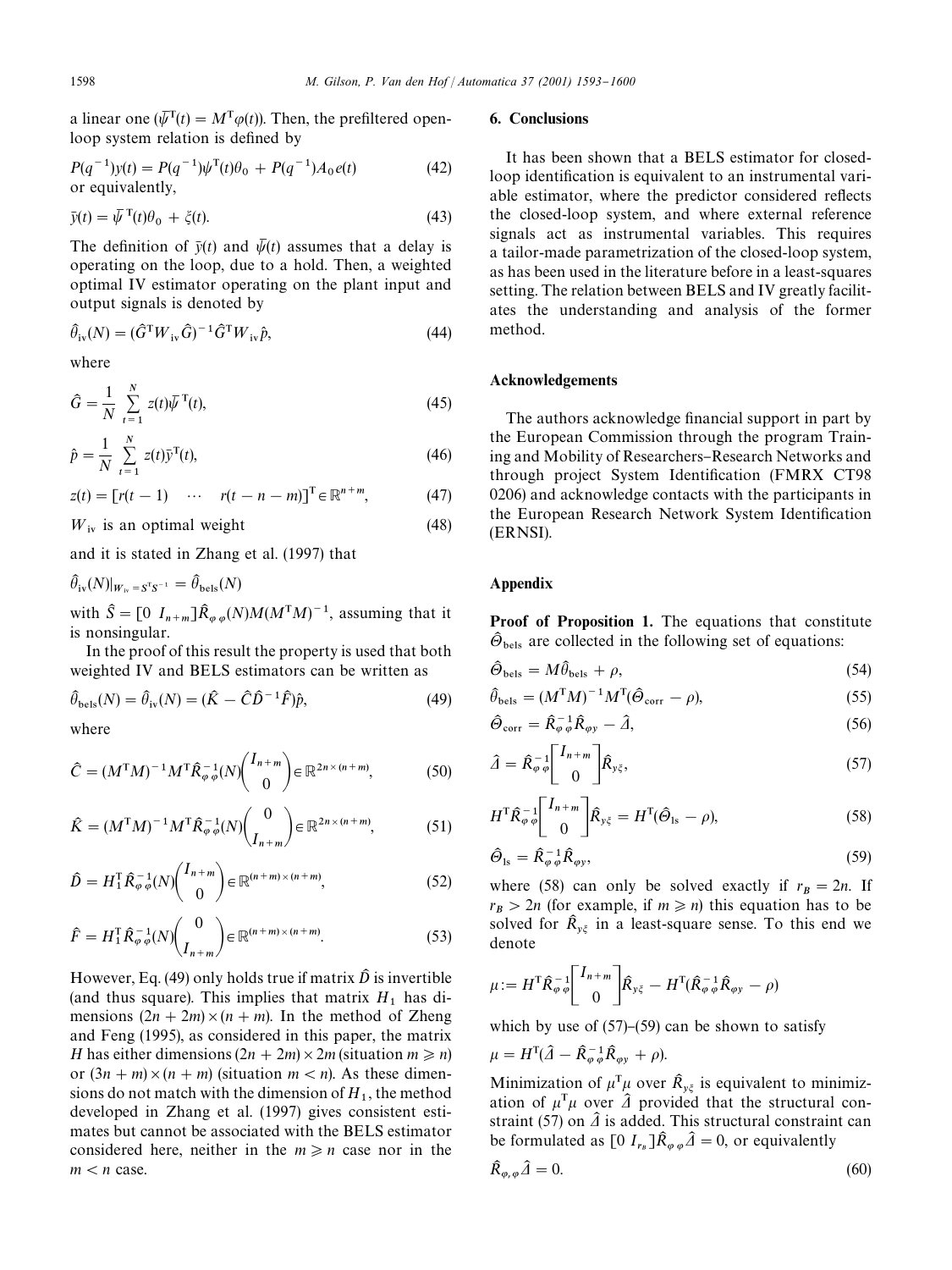a linear one  $(\bar{\psi}^T(t) = M^T \varphi(t))$ . Then, the prefiltered openloop system relation is defined by

$$
P(q^{-1})y(t) = P(q^{-1})\psi^{T}(t)\theta_0 + P(q^{-1})A_0e(t)
$$
  
or equivalently, (42)

$$
\bar{y}(t) = \bar{\psi}^{\mathrm{T}}(t)\theta_0 + \zeta(t). \tag{43}
$$

The definition of  $\bar{y}(t)$  and  $\bar{\psi}(t)$  assumes that a delay is operating on the loop, due to a hold. Then, a weighted optimal IV estimator operating on the plant input and output signals is denoted by

$$
\widehat{\theta}_{iv}(N) = (\widehat{G}^{\mathrm{T}} W_{iv} \widehat{G})^{-1} \widehat{G}^{\mathrm{T}} W_{iv} \widehat{p},\tag{44}
$$

where

$$
\hat{G} = \frac{1}{N} \sum_{t=1}^{N} z(t) \bar{\psi}^{T}(t),
$$
\n(45)

$$
\hat{p} = \frac{1}{N} \sum_{t=1}^{N} z(t) \bar{y}^{T}(t),
$$
\n(46)

$$
z(t) = [r(t-1) \quad \cdots \quad r(t-n-m)]^{\mathrm{T}} \in \mathbb{R}^{n+m}, \tag{47}
$$

 $W_{\text{iv}}$  is an optimal weight (48)

and it is stated in Zhang et al. (1997) that

 $\widehat{\theta}_{iv}(N)|_{W_{iv} = S^{T}S^{-1}} = \widehat{\theta}_{bels}(N)$ .<br>I .<br>.

with  $\hat{S} = [0 I_{n+m}] \hat{R}_{\varphi \varphi}(N) M (M^{T}M)^{-1}$ , assuming that it is nonsingular.

In the proof of this result the property is used that both weighted IV and BELS estimators can be written as

$$
\hat{\theta}_{\text{bels}}(N) = \hat{\theta}_{\text{iv}}(N) = (\hat{K} - \hat{C}\hat{D}^{-1}\hat{F})\hat{p},\tag{49}
$$

where

$$
\hat{C} = (M^{\mathrm{T}}M)^{-1}M^{\mathrm{T}}\hat{R}_{\varphi\,\varphi}^{-1}(N)\binom{I_{n+m}}{0} \in \mathbb{R}^{2n \times (n+m)},\tag{50}
$$

$$
\hat{K} = (M^{\mathrm{T}}M)^{-1}M^{\mathrm{T}}\hat{R}_{\varphi\cdot\varphi}^{-1}(N)\binom{0}{I_{n+m}} \in \mathbb{R}^{2n \times (n+m)},\tag{51}
$$

$$
\widehat{D} = H_1^{\mathrm{T}} \widehat{R}_{\varphi \varphi}^{-1}(N) \begin{pmatrix} I_{n+m} \\ 0 \end{pmatrix} \in \mathbb{R}^{(n+m)\times(n+m)},\tag{52}
$$

$$
\widehat{F} = H_1^{\mathrm{T}} \widehat{R}_{\varphi \varphi}^{-1}(N) \begin{pmatrix} 0 \\ I_{n+m} \end{pmatrix} \in \mathbb{R}^{(n+m)\times (n+m)}.
$$
 (53)

However, Eq. (49) only holds true if matrix  $\hat{D}$  is invertible (and thus square). This implies that matrix  $H_1$  has dimensions  $(2n + 2m) \times (n + m)$ . In the method of Zheng and Feng (1995), as considered in this paper, the matrix *H* has either dimensions  $(2n + 2m) \times 2m$  (situation  $m \ge n$ ) or  $(3n + m) \times (n + m)$  (situation  $m < n$ ). As these dimensions do not match with the dimension of  $H_1$ , the method developed in Zhang et al. (1997) gives consistent estimates but cannot be associated with the BELS estimator considered here, neither in the  $m \ge n$  case nor in the  $m < n$  case.

#### 6. Conclusions

It has been shown that a BELS estimator for closedloop identification is equivalent to an instrumental variable estimator, where the predictor considered reflects the closed-loop system, and where external reference signals act as instrumental variables. This requires a tailor-made parametrization of the closed-loop system, as has been used in the literature before in a least-squares setting. The relation between BELS and IV greatly facilitates the understanding and analysis of the former method.

## Acknowledgements

The authors acknowledge financial support in part by the European Commission through the program Training and Mobility of Researchers–Research Networks and through project System Identification (FMRX CT98 0206) and acknowledge contacts with the participants in the European Research Network System Identification (ERNSI).

## Appendix

Proof of Proposition 1. The equations that constitute  $\hat{\Theta}_{\text{bels}}$  are collected in the following set of equations:

$$
\hat{\Theta}_{\text{bels}} = M\hat{\theta}_{\text{bels}} + \rho,\tag{54}
$$

$$
\hat{\theta}_{\text{bels}} = (M^{\text{T}}M)^{-1}M^{\text{T}}(\hat{\Theta}_{\text{corr}} - \rho),\tag{55}
$$

$$
\hat{\Theta}_{\text{corr}} = \hat{R}_{\varphi \varphi}^{-1} \hat{R}_{\varphi y} - \hat{\varLambda}, \tag{56}
$$

$$
\hat{\mathbf{\Lambda}} = \hat{R}_{\varphi \,\varphi}^{-1} \begin{bmatrix} I_{n+m} \\ 0 \end{bmatrix} \hat{R}_{y\zeta},\tag{57}
$$

$$
H^{\mathrm{T}} \hat{\mathcal{R}}_{\varphi \varphi}^{-1} \begin{bmatrix} I_{n+m} \\ 0 \end{bmatrix} \hat{\mathcal{R}}_{y\xi} = H^{\mathrm{T}} (\hat{\Theta}_{1s} - \rho), \tag{58}
$$

$$
\hat{\Theta}_{\text{ls}} = \hat{R}_{\varphi\,\varphi}^{-1} \hat{R}_{\varphi y},\tag{59}
$$

where (58) can only be solved exactly if  $r_B = 2n$ . If  $r_B > 2n$  (for example, if  $m \ge n$ ) this equation has to be solved for  $\hat{R}_{y\xi}$  in a least-square sense. To this end we denote

$$
\mu := H^{\mathrm{T}} \hat{R}_{\varphi \varphi}^{-1} \begin{bmatrix} I_{n+m} \\ 0 \end{bmatrix} \hat{R}_{y\xi} - H^{\mathrm{T}} (\hat{R}_{\varphi \varphi}^{-1} \hat{R}_{\varphi y} - \rho)
$$

which by use of  $(57)$ – $(59)$  can be shown to satisfy

$$
\mu = H^{\rm T}(\hat{A} - \hat{R}_{\varphi\,\varphi}^{-1}\hat{R}_{\varphi y} + \rho).
$$

Minimization of  $\mu^T \mu$  over  $\hat{R}_{y\xi}$  is equivalent to minimization of  $\mu^T \mu$  over  $\hat{\lambda}$  provided that the structural constraint (57) on  $\hat{\Lambda}$  is added. This structural constraint can be formulated as  $[0 I_{r_B}]\hat{R}_{\varphi\varphi}\hat{\Delta} = 0$ , or equivalently

$$
\hat{R}_{\varphi,\varphi}\hat{\varDelta}=0.\tag{60}
$$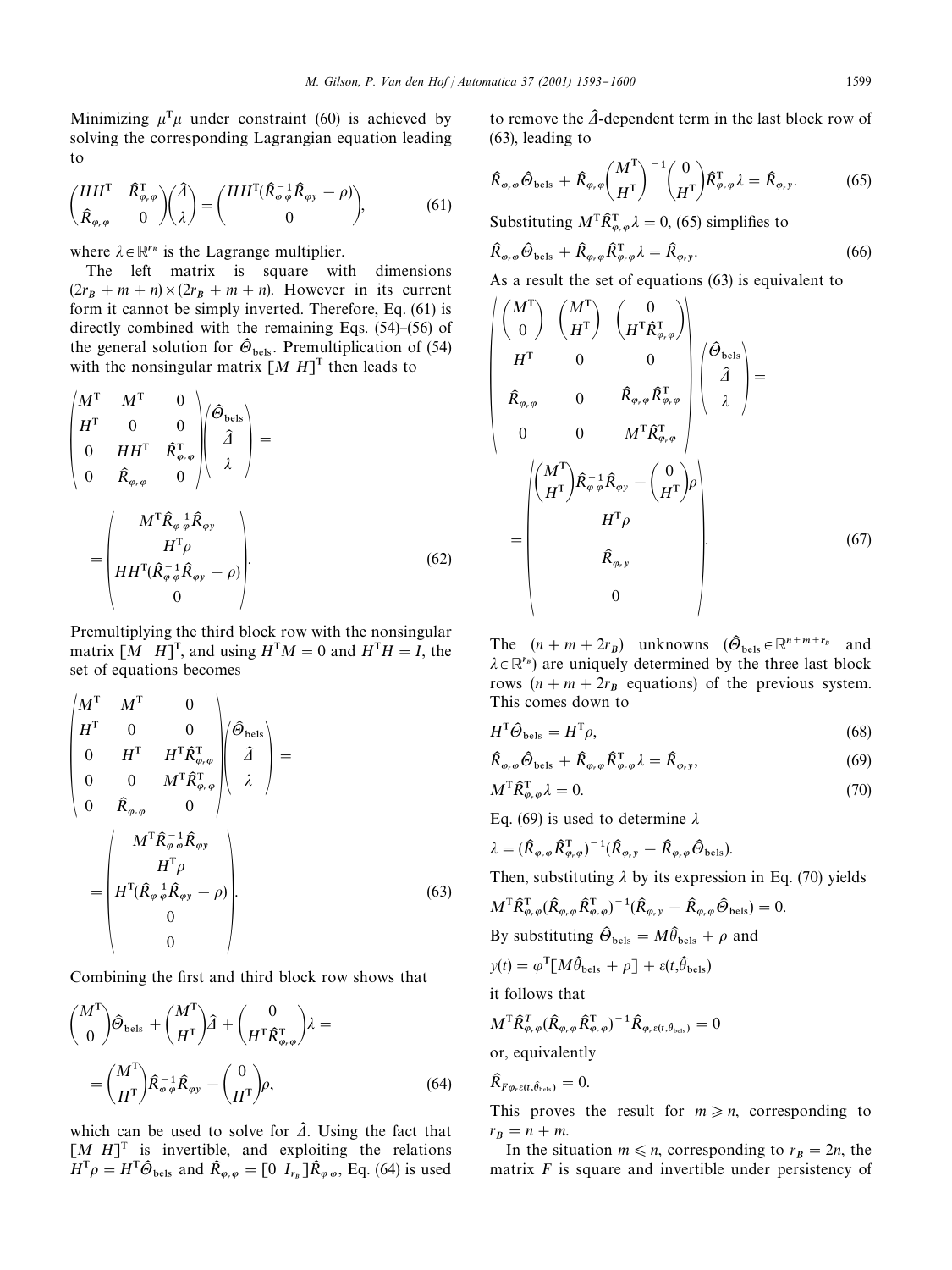$\mid$ 

Minimizing  $\mu^T \mu$  under constraint (60) is achieved by solving the corresponding Lagrangian equation leading to

$$
\begin{pmatrix} HH^{\mathrm{T}} & \hat{\mathcal{R}}_{\varphi,\varphi}^{\mathrm{T}} \\ \hat{\mathcal{R}}_{\varphi,\varphi} & 0 \end{pmatrix} \begin{pmatrix} \hat{\mathcal{A}} \\ \lambda \end{pmatrix} = \begin{pmatrix} HH^{\mathrm{T}}(\hat{\mathcal{R}}_{\varphi\varphi}^{-1}\hat{\mathcal{R}}_{\varphi y} - \rho) \\ 0 \end{pmatrix}, \tag{61}
$$

where  $\lambda \in \mathbb{R}^{r_B}$  is the Lagrange multiplier.

The left matrix is square with dimensions  $(2r_B + m + n) \times (2r_B + m + n)$ . However in its current form it cannot be simply inverted. Therefore, Eq. (61) is directly combined with the remaining Eqs.  $(54)$ – $(56)$  of the general solution for  $\widehat{\Theta}_{\text{bels}}$ . Premultiplication of (54) with the nonsingular matrix  $[M H]$ <sup>T</sup> then leads to

$$
\begin{pmatrix}\nM^{\mathrm{T}} & M^{\mathrm{T}} & 0 \\
H^{\mathrm{T}} & 0 & 0 \\
0 & H H^{\mathrm{T}} & \hat{\mathbf{R}}_{\varphi,\varphi}^{\mathrm{T}} \\
0 & \hat{\mathbf{R}}_{\varphi,\varphi} & 0\n\end{pmatrix}\n\begin{pmatrix}\n\hat{\Theta}_{\mathrm{bels}} \\
\hat{\mathbf{\Lambda}} \\
\hat{\mathbf{\Lambda}}\n\end{pmatrix} = \begin{pmatrix}\nM^{\mathrm{T}} \hat{\mathbf{R}}_{\varphi,\varphi}^{-1} \hat{\mathbf{R}}_{\varphi y} \\
H^{\mathrm{T}} \hat{\mathbf{\Lambda}}_{\varphi} \hat{\mathbf{\Lambda}}_{\varphi y} \\
H^{\mathrm{T}} (\hat{\mathbf{R}}_{\varphi,\varphi}^{-1} \hat{\mathbf{R}}_{\varphi y} - \rho) \\
0\n\end{pmatrix}.
$$
\n(62)

Premultiplying the third block row with the nonsingular matrix  $[M \ H]^T$ , and using  $H^T M = 0$  and  $H^T H = I$ , the set of equations becomes

$$
\begin{pmatrix}\nM^{\mathrm{T}} & M^{\mathrm{T}} & 0 \\
H^{\mathrm{T}} & 0 & 0 \\
0 & H^{\mathrm{T}} & H^{\mathrm{T}} \hat{\mathbf{R}}_{\varphi,\varphi}^{\mathrm{T}} \\
0 & 0 & M^{\mathrm{T}} \hat{\mathbf{R}}_{\varphi,\varphi}^{\mathrm{T}} \\
0 & \hat{\mathbf{R}}_{\varphi,\varphi} & 0\n\end{pmatrix} \begin{pmatrix} \hat{\Theta}_{\mathrm{bels}} \\ \hat{\mathbf{\Lambda}} \\ \hat{\mathbf{\Lambda}} \end{pmatrix} =
$$
\n
$$
= \begin{pmatrix}\nM^{\mathrm{T}} \hat{\mathbf{R}}_{\varphi}^{-1} \hat{\mathbf{R}}_{\varphi \varphi} \\
H^{\mathrm{T}} \rho \\
H^{\mathrm{T}} (\hat{\mathbf{R}}_{\varphi}^{-1} \hat{\mathbf{R}}_{\varphi \varphi} - \rho) \\
0 \\
0\n\end{pmatrix}.
$$
\n(63)

Combining the first and third block row shows that

$$
\begin{aligned}\n\binom{M^{\mathrm{T}}}{0} \hat{\Theta}_{\text{bels}} + \binom{M^{\mathrm{T}}}{H^{\mathrm{T}}} \hat{A} + \binom{0}{H^{\mathrm{T}} \hat{R}_{\varphi,\varphi}^{\mathrm{T}}} \lambda &= \\
&= \binom{M^{\mathrm{T}}}{H^{\mathrm{T}}} \hat{R}_{\varphi\varphi}^{-1} \hat{R}_{\varphi y} - \binom{0}{H^{\mathrm{T}}} \rho,\n\end{aligned} \tag{64}
$$

which can be used to solve for  $\hat{\lambda}$ . Using the fact that  $[M H]$ <sup>T</sup> is invertible, and exploiting the relations  $H^{\text{T}} \rho = H^{\text{T}} \hat{\Theta}_{\text{bels}}$  and  $\hat{R}_{\varphi,\varphi} = [0 \, I_{r_B}] \hat{R}_{\varphi,\varphi}$ , Eq. (64) is used

to remove the  $\hat{\Lambda}$ -dependent term in the last block row of (63), leading to

$$
\hat{R}_{\varphi,\varphi}\hat{\Theta}_{\text{bels}} + \hat{R}_{\varphi,\varphi} \binom{M^{\text{T}}}{H^{\text{T}}}^{-1} \binom{0}{H^{\text{T}}} \hat{R}_{\varphi,\varphi}^{\text{T}} \lambda = \hat{R}_{\varphi,\text{y}}.
$$
 (65)

Substituting  $M^{\text{T}} \hat{R}^{\text{T}}_{\varphi,\varphi} \lambda = 0$ , (65) simplifies to

$$
\hat{R}_{\varphi,\varphi}\hat{\Theta}_{\text{bels}} + \hat{R}_{\varphi,\varphi}\hat{R}_{\varphi,\varphi}^{T}\lambda = \hat{R}_{\varphi,\mathbf{y}}.\tag{66}
$$

As a result the set of equations (63) is equivalent to

$$
\begin{pmatrix}\nM^{\mathrm{T}} \\
0\n\end{pmatrix}\n\begin{pmatrix}\nM^{\mathrm{T}} \\
H^{\mathrm{T}}\n\end{pmatrix}\n\begin{pmatrix}\n0 \\
H^{\mathrm{T}}\hat{R}_{\varphi,\varphi}^{\mathrm{T}}\n\end{pmatrix}
$$
\n
$$
\hat{R}_{\varphi,\varphi} \qquad 0 \qquad \hat{R}_{\varphi,\varphi} \hat{R}_{\varphi,\varphi}^{\mathrm{T}}\n\begin{pmatrix}\n\hat{\varphi}_{\text{bels}} \\
\hat{\varphi}_{\lambda}\n\end{pmatrix} =
$$
\n
$$
0 \qquad 0 \qquad M^{\mathrm{T}}\hat{R}_{\varphi,\varphi}^{\mathrm{T}}\n\begin{pmatrix}\nM^{\mathrm{T}} \\
H^{\mathrm{T}}\n\end{pmatrix}\hat{R}_{\varphi\varphi}^{\mathrm{T}}\hat{R}_{\varphi\varphi} - \left(\frac{0}{H^{\mathrm{T}}}\right)\rho\n\begin{pmatrix}\nH^{\mathrm{T}}\rho \\
H^{\mathrm{T}}\rho\n\end{pmatrix}
$$
\n
$$
= \begin{pmatrix}\nM^{\mathrm{T}} \\
H^{\mathrm{T}}\rho \\
\hat{R}_{\varphi,\mathrm{y}} \\
0\n\end{pmatrix} . \qquad (67)
$$

The  $(n + m + 2r_B)$  unknowns  $(\hat{\Theta}_{\text{bels}} \in \mathbb{R}^{n+m+r_B}$  and  $\lambda \in \mathbb{R}^{r_B}$ ) are uniquely determined by the three last block rows  $(n + m + 2r_B)$  equations) of the previous system. This comes down to

$$
H^{\mathrm{T}}\hat{\Theta}_{\mathrm{bels}} = H^{\mathrm{T}}\rho,\tag{68}
$$

$$
\hat{R}_{\varphi,\varphi}\hat{\Theta}_{\text{bels}} + \hat{R}_{\varphi,\varphi}\hat{R}_{\varphi,\varphi}^{\text{T}}\lambda = \hat{R}_{\varphi,\mathbf{y}},\tag{69}
$$

$$
M^{\mathrm{T}}\hat{R}_{\varphi,\varphi}^{\mathrm{T}}\lambda=0.\tag{70}
$$

Eq. (69) is used to determine  $\lambda$ 

$$
\lambda = (\hat{R}_{\varphi,\varphi} \hat{R}_{\varphi,\varphi}^{T})^{-1} (\hat{R}_{\varphi,\,y} - \hat{R}_{\varphi,\,\varphi} \hat{\Theta}_{\text{bels}}).
$$

Then, substituting  $\lambda$  by its expression in Eq. (70) yields

$$
M^{\mathsf{T}}\hat{R}_{\varphi,\varphi}^{\mathsf{T}}(\hat{R}_{\varphi,\varphi}\hat{R}_{\varphi,\varphi}^{\mathsf{T}})^{-1}(\hat{R}_{\varphi,\nu}-\hat{R}_{\varphi,\varphi}\hat{\Theta}_{\text{bels}})=0.
$$

By substituting  $\hat{\Theta}_{\text{bels}} = M \hat{\theta}_{\text{bels}} + \rho$  and .<br>.

$$
y(t) = \varphi^{\mathrm{T}}[M\hat{\theta}_{\text{bels}} + \rho] + \varepsilon(t, \hat{\theta}_{\text{bels}})
$$

it follows that

$$
M^{\rm T}\hat{R}_{\varphi_{r}\varphi}^{\rm T}(\hat{R}_{\varphi_{r}\varphi}\hat{R}_{\varphi_{r}\varphi}^{\rm T})^{-1}\hat{R}_{\varphi_{r}\epsilon(t,\hat{\theta}_{\rm bels})}=0
$$

or, equivalently

$$
\widehat{R}_{F\varphi_r\epsilon(t,\widehat{\theta}_{\text{bels}})}=0.
$$

This proves the result for  $m \ge n$ , corresponding to  $r_B = n + m$ .

In the situation  $m \le n$ , corresponding to  $r_B = 2n$ , the matrix *F* is square and invertible under persistency of